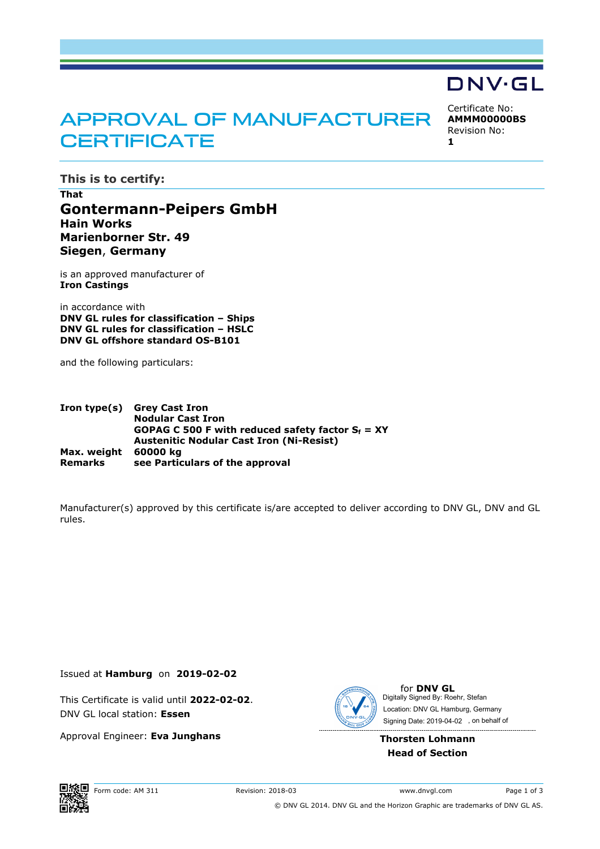## APPROVAL OF MANUFACTURER **CERTIFICATE**

Certificate No: **AMMM00000BS** Revision No:

DNV·GL

**1** 

**This is to certify: That Gontermann-Peipers GmbH Hain Works Marienborner Str. 49** 

is an approved manufacturer of **Iron Castings**

**Siegen**, **Germany**

in accordance with **DNV GL rules for classification – Ships DNV GL rules for classification – HSLC DNV GL offshore standard OS-B101** 

and the following particulars:

**Iron type(s) Grey Cast Iron Nodular Cast Iron GOPAG C 500 F with reduced safety factor**  $S_f$  **= XY Austenitic Nodular Cast Iron (Ni-Resist) Max. weight 60000 kg Remarks see Particulars of the approval**

Manufacturer(s) approved by this certificate is/are accepted to deliver according to DNV GL, DNV and GL rules.

Issued at **Hamburg** on **2019-02-02**

This Certificate is valid until **2022-02-02**. DNV GL local station: **Essen**

Approval Engineer: **Eva Junghans**



for **DNV GL** Digitally Signed By: Roehr, Stefan Signing Date: 2019-04-02 , on behalf ofLocation: DNV GL Hamburg, Germany

## **Thorsten Lohmann Head of Section**



© DNV GL 2014. DNV GL and the Horizon Graphic are trademarks of DNV GL AS.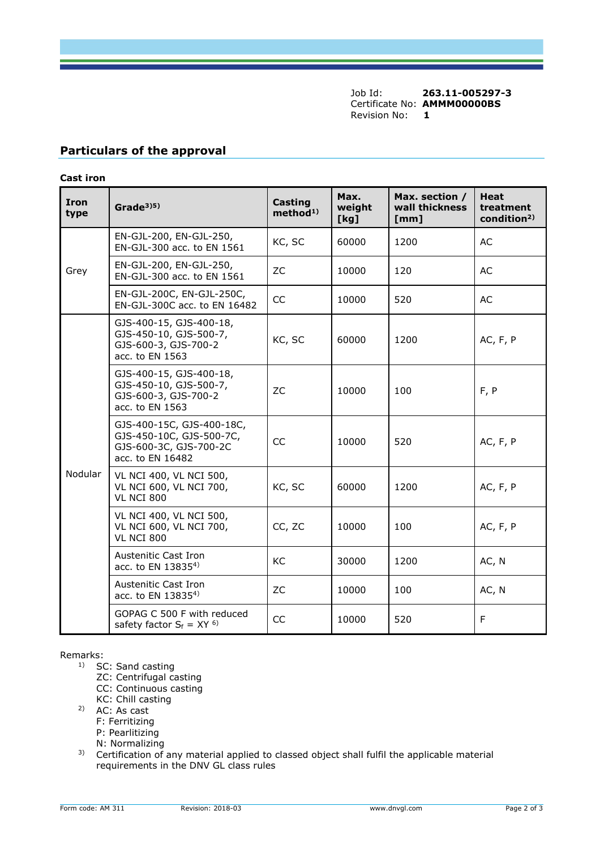Job Id: **263.11-005297-3** Certificate No: **AMMM00000BS** Revision No: **1** 

## **Particulars of the approval**

## **Cast iron**

| <b>Iron</b><br>type | Grade <sup>3)5)</sup>                                                                               | Casting<br>method <sup>1)</sup> | Max.<br>weight<br>[kg] | Max. section /<br>wall thickness<br>[mm] | Heat<br>treatment<br>condition <sup>2)</sup> |
|---------------------|-----------------------------------------------------------------------------------------------------|---------------------------------|------------------------|------------------------------------------|----------------------------------------------|
| Grey                | EN-GJL-200, EN-GJL-250,<br>EN-GJL-300 acc. to EN 1561                                               | KC, SC                          | 60000                  | 1200                                     | AC                                           |
|                     | EN-GJL-200, EN-GJL-250,<br>EN-GJL-300 acc. to EN 1561                                               | ZC                              | 10000                  | 120                                      | AC                                           |
|                     | EN-GJL-200C, EN-GJL-250C,<br>EN-GJL-300C acc. to EN 16482                                           | <b>CC</b>                       | 10000                  | 520                                      | AC                                           |
| Nodular             | GJS-400-15, GJS-400-18,<br>GJS-450-10, GJS-500-7,<br>GJS-600-3, GJS-700-2<br>acc. to EN 1563        | KC, SC                          | 60000                  | 1200                                     | AC, F, P                                     |
|                     | GJS-400-15, GJS-400-18,<br>GJS-450-10, GJS-500-7,<br>GJS-600-3, GJS-700-2<br>acc. to EN 1563        | <b>ZC</b>                       | 10000                  | 100                                      | F, P                                         |
|                     | GJS-400-15C, GJS-400-18C,<br>GJS-450-10C, GJS-500-7C,<br>GJS-600-3C, GJS-700-2C<br>acc. to EN 16482 | CC                              | 10000                  | 520                                      | AC, F, P                                     |
|                     | VL NCI 400, VL NCI 500,<br>VL NCI 600, VL NCI 700,<br><b>VL NCI 800</b>                             | KC, SC                          | 60000                  | 1200                                     | AC, F, P                                     |
|                     | VL NCI 400, VL NCI 500,<br>VL NCI 600, VL NCI 700,<br><b>VL NCI 800</b>                             | CC, ZC                          | 10000                  | 100                                      | AC, F, P                                     |
|                     | <b>Austenitic Cast Iron</b><br>acc. to EN 138354)                                                   | KC                              | 30000                  | 1200                                     | AC, N                                        |
|                     | <b>Austenitic Cast Iron</b><br>acc. to EN 138354)                                                   | <b>ZC</b>                       | 10000                  | 100                                      | AC, N                                        |
|                     | GOPAG C 500 F with reduced<br>safety factor $S_f = XY^{6}$                                          | CC                              | 10000                  | 520                                      | F                                            |

Remarks:

- <sup>1)</sup> SC: Sand casting
	- ZC: Centrifugal casting
	- CC: Continuous casting
	- KC: Chill casting
- 2) AC: As cast
	- F: Ferritizing
	- P: Pearlitizing
	- N: Normalizing
- <sup>3)</sup> Certification of any material applied to classed object shall fulfil the applicable material requirements in the DNV GL class rules